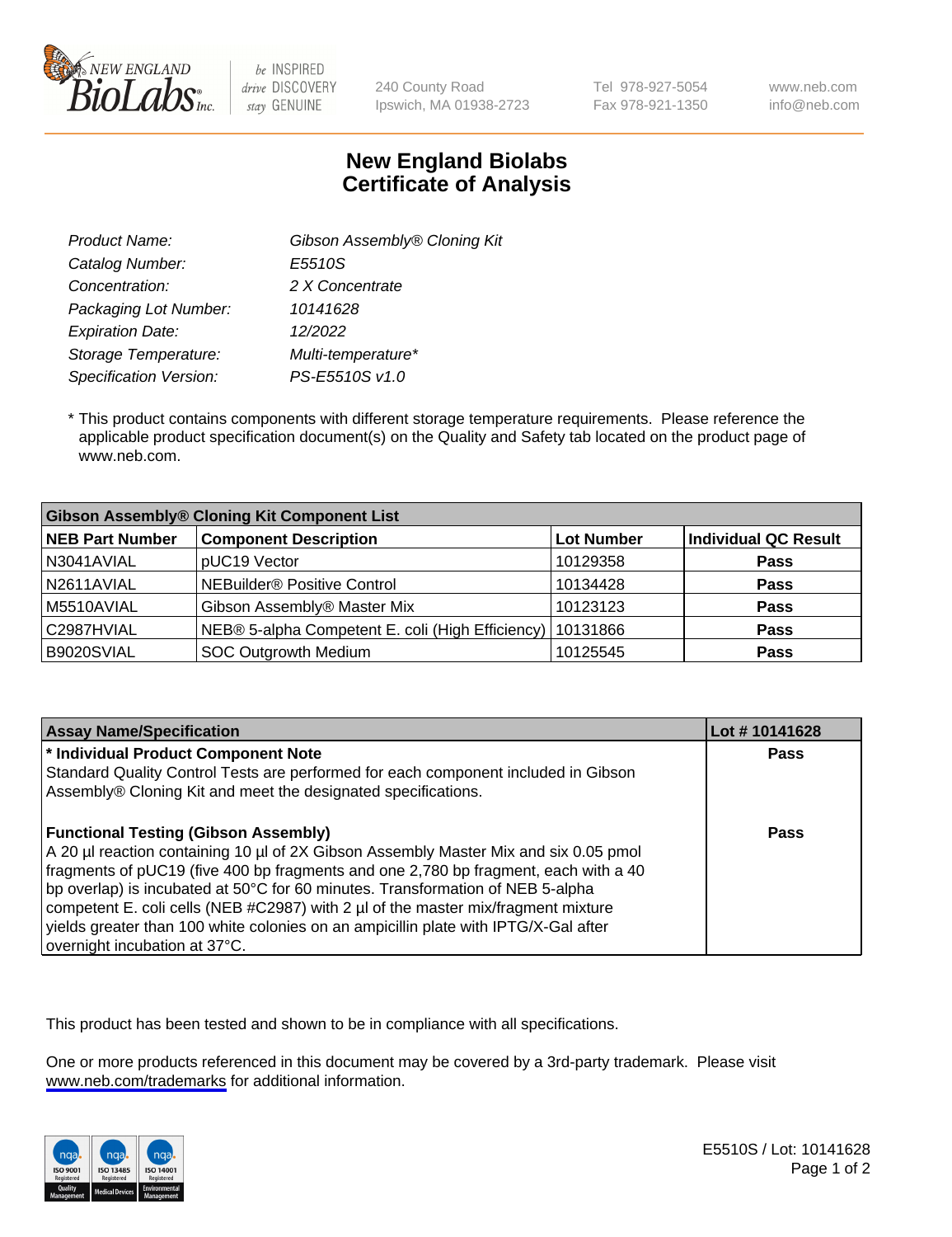

be INSPIRED drive DISCOVERY stay GENUINE

240 County Road Ipswich, MA 01938-2723 Tel 978-927-5054 Fax 978-921-1350 www.neb.com info@neb.com

## **New England Biolabs Certificate of Analysis**

| Product Name:           | Gibson Assembly® Cloning Kit |
|-------------------------|------------------------------|
| Catalog Number:         | E5510S                       |
| Concentration:          | 2 X Concentrate              |
| Packaging Lot Number:   | 10141628                     |
| <b>Expiration Date:</b> | 12/2022                      |
| Storage Temperature:    | Multi-temperature*           |
| Specification Version:  | PS-E5510S v1.0               |

 \* This product contains components with different storage temperature requirements. Please reference the applicable product specification document(s) on the Quality and Safety tab located on the product page of www.neb.com.

| <b>Gibson Assembly® Cloning Kit Component List</b> |                                                  |                   |                      |
|----------------------------------------------------|--------------------------------------------------|-------------------|----------------------|
| <b>NEB Part Number</b>                             | <b>Component Description</b>                     | <b>Lot Number</b> | Individual QC Result |
| N3041AVIAL                                         | pUC19 Vector                                     | 10129358          | <b>Pass</b>          |
| N2611AVIAL                                         | <b>NEBuilder<sup>®</sup></b> Positive Control    | 10134428          | <b>Pass</b>          |
| M5510AVIAL                                         | Gibson Assembly® Master Mix                      | 10123123          | <b>Pass</b>          |
| C2987HVIAL                                         | NEB® 5-alpha Competent E. coli (High Efficiency) | 10131866          | <b>Pass</b>          |
| B9020SVIAL                                         | <b>SOC Outgrowth Medium</b>                      | 10125545          | <b>Pass</b>          |

| <b>Assay Name/Specification</b>                                                      | Lot # 10141628 |
|--------------------------------------------------------------------------------------|----------------|
| * Individual Product Component Note                                                  | <b>Pass</b>    |
| Standard Quality Control Tests are performed for each component included in Gibson   |                |
| Assembly® Cloning Kit and meet the designated specifications.                        |                |
| <b>Functional Testing (Gibson Assembly)</b>                                          | Pass           |
| A 20 µl reaction containing 10 µl of 2X Gibson Assembly Master Mix and six 0.05 pmol |                |
| fragments of pUC19 (five 400 bp fragments and one 2,780 bp fragment, each with a 40  |                |
| bp overlap) is incubated at 50°C for 60 minutes. Transformation of NEB 5-alpha       |                |
| competent E. coli cells (NEB #C2987) with 2 µl of the master mix/fragment mixture    |                |
| yields greater than 100 white colonies on an ampicillin plate with IPTG/X-Gal after  |                |
| overnight incubation at 37°C.                                                        |                |

This product has been tested and shown to be in compliance with all specifications.

One or more products referenced in this document may be covered by a 3rd-party trademark. Please visit <www.neb.com/trademarks>for additional information.